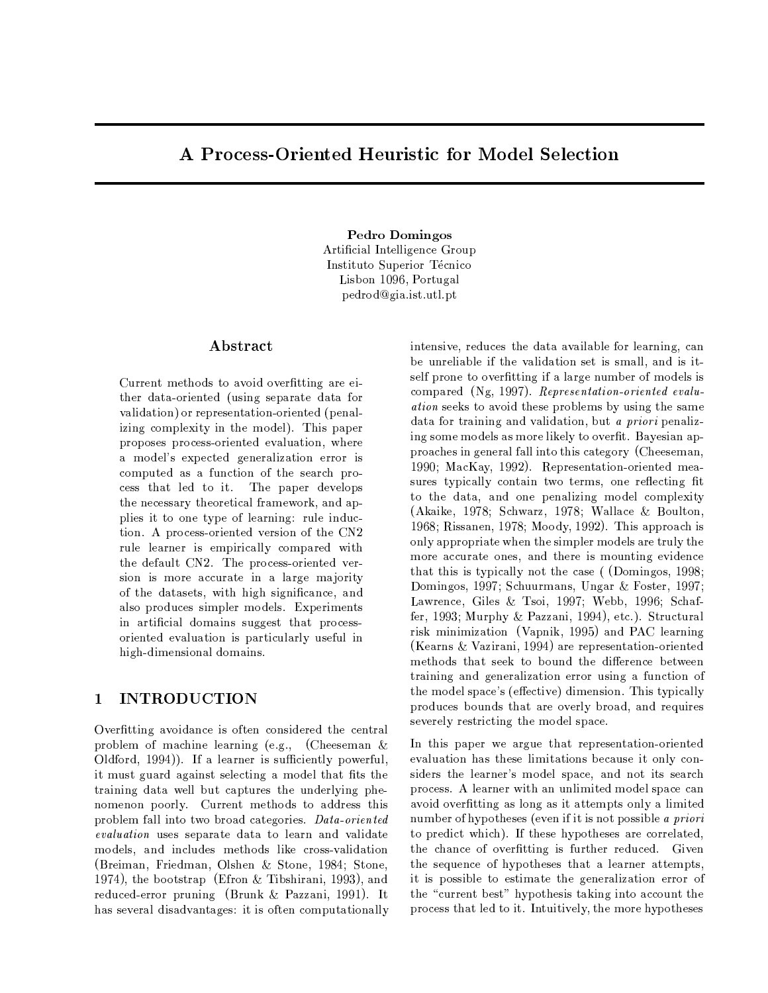# A Process-Oriented Heuristic for Model Selection

Pedro Domingos Artificial Intelligence Group Instituto Superior Técnico Lisbon 1096, Portugal pedrod@gia.ist.utl.pt

## Abstract

Current methods to avoid overfitting are either data-oriented (using separate data for validation) or representation-oriented (penalizing complexity in the model). This paper proposes process-oriented evaluation, where a model's expected generalization error is computed as a function of the search process that led to it. The paper develops the necessary theoretical framework, and applies it to one type of learning: rule induction. A process-oriented version of the CN2 rule learner is empirically compared with the default CN2. The process-oriented version is more accurate in a large majority of the datasets, with high significance, and also produces simpler models. Experiments in artificial domains suggest that processoriented evaluation is particularly useful in high-dimensional domains.

#### **INTRODUCTION**  $\mathbf{1}$

Overfitting avoidance is often considered the central problem of machine learning (e.g., (Cheeseman  $\&$ Oldford, 1994)). If a learner is sufficiently powerful, it must guard against selecting a model that fits the training data well but captures the underlying phenomenon poorly. Current methods to address this problem fall into two broad categories. Data-oriented evaluation uses separate data to learn and validate models, and includes methods like cross-validation (Breiman, Friedman, Olshen & Stone, 1984; Stone, 1974), the bootstrap (Efron & Tibshirani, 1993), and reduced-error pruning (Brunk & Pazzani, 1991). It has several disadvantages: it is often computationally intensive, reduces the data available for learning, can be unreliable if the validation set is small, and is itself prone to overfitting if a large number of models is compared (Ng, 1997). Representation-oriented evalu*ation* seeks to avoid these problems by using the same data for training and validation, but a priori penalizing some models as more likely to overfit. Bayesian approaches in general fall into this category (Cheeseman, 1990: MacKay, 1992). Representation-oriented measures typically contain two terms, one reflecting fit to the data, and one penalizing model complexity (Akaike, 1978; Schwarz, 1978; Wallace & Boulton, 1968; Rissanen, 1978; Moody, 1992). This approach is only appropriate when the simpler models are truly the more accurate ones, and there is mounting evidence that this is typically not the case ((Domingos, 1998; Domingos, 1997; Schuurmans, Ungar & Foster, 1997; Lawrence, Giles & Tsoi, 1997; Webb, 1996; Schaffer, 1993; Murphy & Pazzani, 1994), etc.). Structural risk minimization (Vapnik, 1995) and PAC learning (Kearns & Vazirani, 1994) are representation-oriented methods that seek to bound the difference between training and generalization error using a function of the model space's (effective) dimension. This typically produces bounds that are overly broad, and requires severely restricting the model space.

In this paper we argue that representation-oriented evaluation has these limitations because it only considers the learner's model space, and not its search process. A learner with an unlimited model space can avoid overfitting as long as it attempts only a limited number of hypotheses (even if it is not possible a priori to predict which). If these hypotheses are correlated, the chance of overfitting is further reduced. Given the sequence of hypotheses that a learner attempts. it is possible to estimate the generalization error of the "current best" hypothesis taking into account the process that led to it. Intuitively, the more hypotheses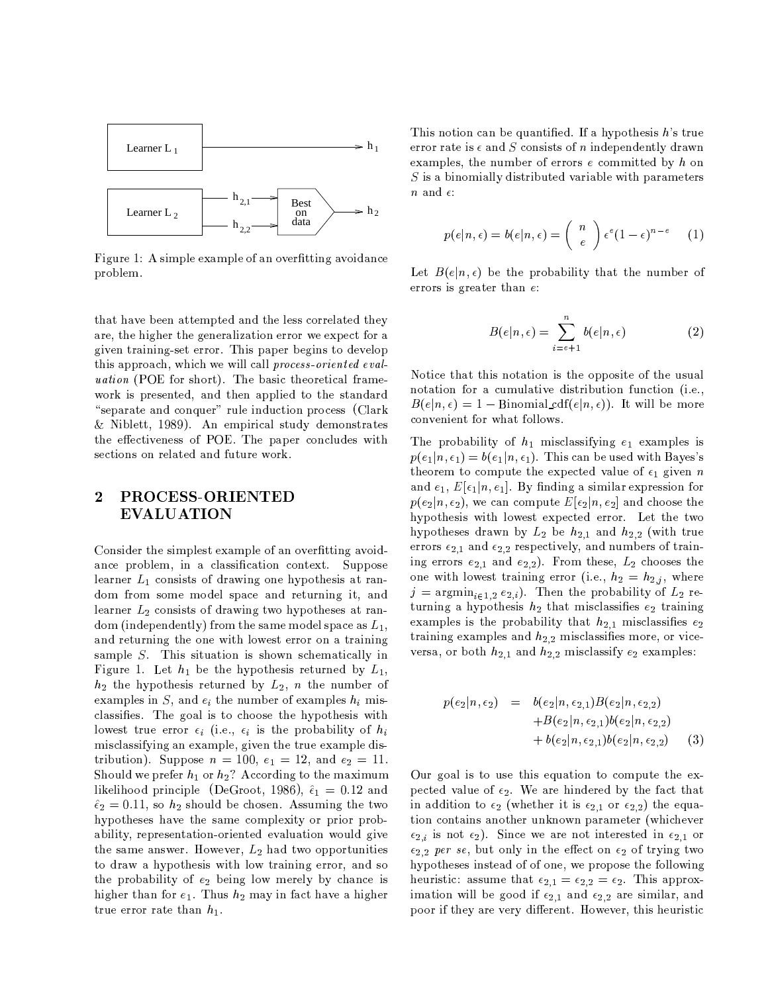

Figure 1: A simple example of an overfitting avoidance problem.

that have been attempted and the less correlated they are, the higher the generalization error we expect for a given training-set error. This paper begins to develop this approach, which we will call process-oriented eval*uation* (POE for short). The basic theoretical framework is presented, and then applied to the standard "separate and conquer" rule induction process (Clark & Niblett, 1989). An empirical study demonstrates the effectiveness of POE. The paper concludes with sections on related and future work.

### PROCESS-ORIENTED  $\overline{2}$ **EVALUATION**

Consider the simplest example of an overfitting avoidance problem, in a classification context. Suppose learner  $L_1$  consists of drawing one hypothesis at random from some model space and returning it, and learner  $L_2$  consists of drawing two hypotheses at random (independently) from the same model space as  $L_1$ , and returning the one with lowest error on a training sample  $S$ . This situation is shown schematically in Figure 1. Let  $h_1$  be the hypothesis returned by  $L_1$ ,  $h_2$  the hypothesis returned by  $L_2$ , *n* the number of examples in S, and  $e_i$  the number of examples  $h_i$  misclassifies. The goal is to choose the hypothesis with lowest true error  $\epsilon_i$  (i.e.,  $\epsilon_i$  is the probability of  $h_i$ misclassifying an example, given the true example distribution). Suppose  $n = 100$ ,  $e_1 = 12$ , and  $e_2 = 11$ . Should we prefer  $h_1$  or  $h_2$ ? According to the maximum likelihood principle (DeGroot, 1986),  $\hat{\epsilon}_1 = 0.12$  and  $\hat{\epsilon}_2 = 0.11$ , so  $h_2$  should be chosen. Assuming the two hypotheses have the same complexity or prior probability, representation-oriented evaluation would give the same answer. However,  $L_2$  had two opportunities to draw a hypothesis with low training error, and so the probability of  $e_2$  being low merely by chance is higher than for  $e_1$ . Thus  $h_2$  may in fact have a higher true error rate than  $h_1$ .

This notion can be quantified. If a hypothesis  $h$ 's true error rate is  $\epsilon$  and S consists of n independently drawn examples, the number of errors  $e$  committed by  $h$  on  $S$  is a binomially distributed variable with parameters *n* and  $\epsilon$ :

$$
p(e|n, \epsilon) = b(e|n, \epsilon) = {n \choose \epsilon} \epsilon^e (1-\epsilon)^{n-\epsilon} \qquad (1)
$$

Let  $B(e|n, \epsilon)$  be the probability that the number of errors is greater than  $e$ :

$$
B(e|n, \epsilon) = \sum_{i=e+1}^{n} b(e|n, \epsilon)
$$
 (2)

Notice that this notation is the opposite of the usual notation for a cumulative distribution function (i.e.,  $B(e|n, \epsilon) = 1 - \text{Binomial}_c df(e|n, \epsilon)$ . It will be more convenient for what follows.

The probability of  $h_1$  misclassifying  $e_1$  examples is  $p(e_1|n, \epsilon_1) = b(e_1|n, \epsilon_1)$ . This can be used with Bayes's theorem to compute the expected value of  $\epsilon_1$  given n and  $e_1$ ,  $E[\epsilon_1|n, \epsilon_1]$ . By finding a similar expression for  $p(e_2|n, \epsilon_2)$ , we can compute  $E[\epsilon_2|n, \epsilon_2]$  and choose the hypothesis with lowest expected error. Let the two hypotheses drawn by  $L_2$  be  $h_{2,1}$  and  $h_{2,2}$  (with true errors  $\epsilon_{2,1}$  and  $\epsilon_{2,2}$  respectively, and numbers of training errors  $e_{2,1}$  and  $e_{2,2}$ ). From these,  $L_2$  chooses the one with lowest training error (i.e.,  $h_2 = h_{2,j}$ , where  $j = \operatorname{argmin}_{i \in 1,2} e_{2,i}$ . Then the probability of  $L_2$  returning a hypothesis  $h_2$  that misclassifies  $e_2$  training examples is the probability that  $h_{2,1}$  misclassifies  $e_2$ training examples and  $h_{2,2}$  misclassifies more, or viceversa, or both  $h_{2,1}$  and  $h_{2,2}$  misclassify  $e_2$  examples:

$$
p(e_2|n, \epsilon_2) = b(e_2|n, \epsilon_{2,1})B(e_2|n, \epsilon_{2,2})
$$
  
+B(e\_2|n, \epsilon\_{2,1})b(e\_2|n, \epsilon\_{2,2})  
+ b(e\_2|n, \epsilon\_{2,1})b(e\_2|n, \epsilon\_{2,2}) (3)

Our goal is to use this equation to compute the expected value of  $\epsilon_2$ . We are hindered by the fact that in addition to  $\epsilon_2$  (whether it is  $\epsilon_{2,1}$  or  $\epsilon_{2,2}$ ) the equation contains another unknown parameter (whichever  $\epsilon_{2,i}$  is not  $\epsilon_2$ ). Since we are not interested in  $\epsilon_{2,1}$  or  $\epsilon_{2,2}$  per se, but only in the effect on  $\epsilon_2$  of trying two hypotheses instead of of one, we propose the following heuristic: assume that  $\epsilon_{2,1} = \epsilon_{2,2} = \epsilon_2$ . This approximation will be good if  $\epsilon_{2,1}$  and  $\epsilon_{2,2}$  are similar, and poor if they are very different. However, this heuristic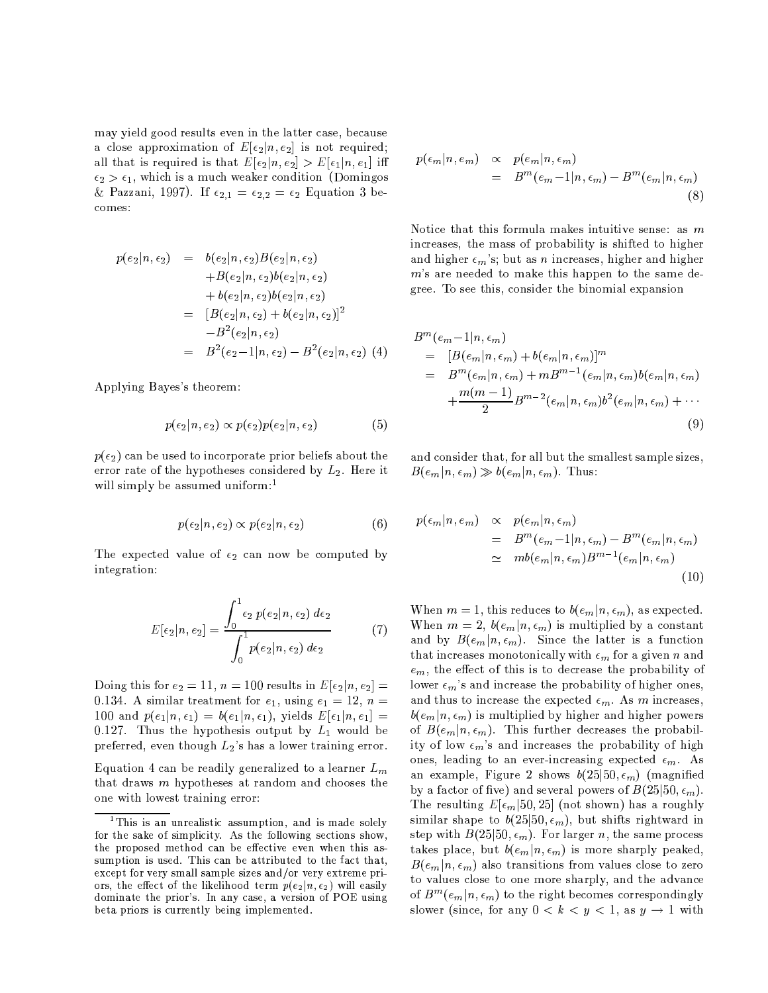may yield good results even in the latter case, because a close approximation of  $E[\epsilon_2|n, \epsilon_2]$  is not required; all that is required is that  $E[\epsilon_2|n, \epsilon_2] > E[\epsilon_1|n, \epsilon_1]$  iff  $\epsilon_2 > \epsilon_1$ , which is a much weaker condition (Domingos & Pazzani, 1997). If  $\epsilon_{2,1} = \epsilon_{2,2} = \epsilon_2$  Equation 3 becomes:

$$
p(e_2|n, \epsilon_2) = b(e_2|n, \epsilon_2)B(e_2|n, \epsilon_2) +B(e_2|n, \epsilon_2)b(e_2|n, \epsilon_2) +b(e_2|n, \epsilon_2)b(e_2|n, \epsilon_2) = [B(e_2|n, \epsilon_2) + b(e_2|n, \epsilon_2)]^2 -B^2(e_2|n, \epsilon_2) = B^2(e_2-1|n, \epsilon_2) - B^2(e_2|n, \epsilon_2)
$$
 (4)

Applying Bayes's theorem:

$$
p(\epsilon_2|n, \epsilon_2) \propto p(\epsilon_2)p(\epsilon_2|n, \epsilon_2) \tag{5}
$$

 $p(\epsilon_2)$  can be used to incorporate prior beliefs about the error rate of the hypotheses considered by  $L_2$ . Here it will simply be assumed uniform:<sup>1</sup>

$$
p(\epsilon_2|n, \epsilon_2) \propto p(\epsilon_2|n, \epsilon_2) \tag{6}
$$

The expected value of  $\epsilon_2$  can now be computed by integration:

$$
E[\epsilon_2|n, \epsilon_2] = \frac{\int_0^1 \epsilon_2 p(\epsilon_2|n, \epsilon_2) d\epsilon_2}{\int_0^1 p(\epsilon_2|n, \epsilon_2) d\epsilon_2}
$$
(7)

Doing this for  $e_2 = 11$ ,  $n = 100$  results in  $E[\epsilon_2 | n, \epsilon_2] =$ 0.134. A similar treatment for  $e_1$ , using  $e_1 = 12$ ,  $n =$ 100 and  $p(e_1|n, \epsilon_1) = b(e_1|n, \epsilon_1)$ , yields  $E[\epsilon_1|n, \epsilon_1] =$ 0.127. Thus the hypothesis output by  $L_1$  would be preferred, even though  $L_2$ 's has a lower training error.

Equation 4 can be readily generalized to a learner  $L_m$ that draws  $m$  hypotheses at random and chooses the one with lowest training error:

$$
p(\epsilon_m | n, e_m) \propto p(\epsilon_m | n, \epsilon_m)
$$
  
= 
$$
B^m(\epsilon_m - 1 | n, \epsilon_m) - B^m(\epsilon_m | n, \epsilon_m)
$$
 (8)

Notice that this formula makes intuitive sense: as  $m$ increases, the mass of probability is shifted to higher and higher  $\epsilon_m$ 's; but as *n* increases, higher and higher m's are needed to make this happen to the same degree. To see this, consider the binomial expansion

$$
Bm(em - 1 | n, \epsilonm)
$$
  
= 
$$
[B(em|n, \epsilonm) + b(em|n, \epsilonm)]m
$$
  
= 
$$
Bm(em|n, \epsilonm) + mBm-1(em|n, \epsilonm)b(em|n, \epsilonm)
$$
  
+ 
$$
\frac{m(m-1)}{2}Bm-2(em|n, \epsilonm)b2(em|n, \epsilonm) + \cdots
$$
  
(9)

and consider that, for all but the smallest sample sizes,  $B(e_m|n, \epsilon_m) \gg b(e_m|n, \epsilon_m)$ . Thus:

$$
p(\epsilon_m | n, e_m) \propto p(\epsilon_m | n, \epsilon_m)
$$
  
= 
$$
B^m(\epsilon_m - 1 | n, \epsilon_m) - B^m(\epsilon_m | n, \epsilon_m)
$$
  

$$
\simeq m b(\epsilon_m | n, \epsilon_m) B^{m-1}(\epsilon_m | n, \epsilon_m)
$$
 (10)

When  $m = 1$ , this reduces to  $b(e_m | n, \epsilon_m)$ , as expected. When  $m = 2$ ,  $b(e_m | n, \epsilon_m)$  is multiplied by a constant and by  $B(e_m|n, \epsilon_m)$ . Since the latter is a function that increases monotonically with  $\epsilon_m$  for a given n and  $e_m$ , the effect of this is to decrease the probability of lower  $\epsilon_m$ 's and increase the probability of higher ones, and thus to increase the expected  $\epsilon_m$ . As m increases,  $b(e_m|n, \epsilon_m)$  is multiplied by higher and higher powers of  $B(e_m|n, \epsilon_m)$ . This further decreases the probability of low  $\epsilon_m$ 's and increases the probability of high ones, leading to an ever-increasing expected  $\epsilon_m$ . As an example, Figure 2 shows  $b(25|50, \epsilon_m)$  (magnified by a factor of five) and several powers of  $B(25|50, \epsilon_m)$ . The resulting  $E[\epsilon_m|50, 25]$  (not shown) has a roughly similar shape to  $b(25|50, \epsilon_m)$ , but shifts rightward in step with  $B(25|50, \epsilon_m)$ . For larger n, the same process takes place, but  $b(e_m|n, \epsilon_m)$  is more sharply peaked,  $B(e_m|n, \epsilon_m)$  also transitions from values close to zero to values close to one more sharply, and the advance of  $B^m(e_m|n, \epsilon_m)$  to the right becomes correspondingly slower (since, for any  $0 < k < y < 1$ , as  $y \to 1$  with

<sup>&</sup>lt;sup>1</sup>This is an unrealistic assumption, and is made solely for the sake of simplicity. As the following sections show, the proposed method can be effective even when this assumption is used. This can be attributed to the fact that, except for very small sample sizes and/or very extreme priors, the effect of the likelihood term  $p(e_2|n, \epsilon_2)$  will easily dominate the prior's. In any case, a version of POE using beta priors is currently being implemented.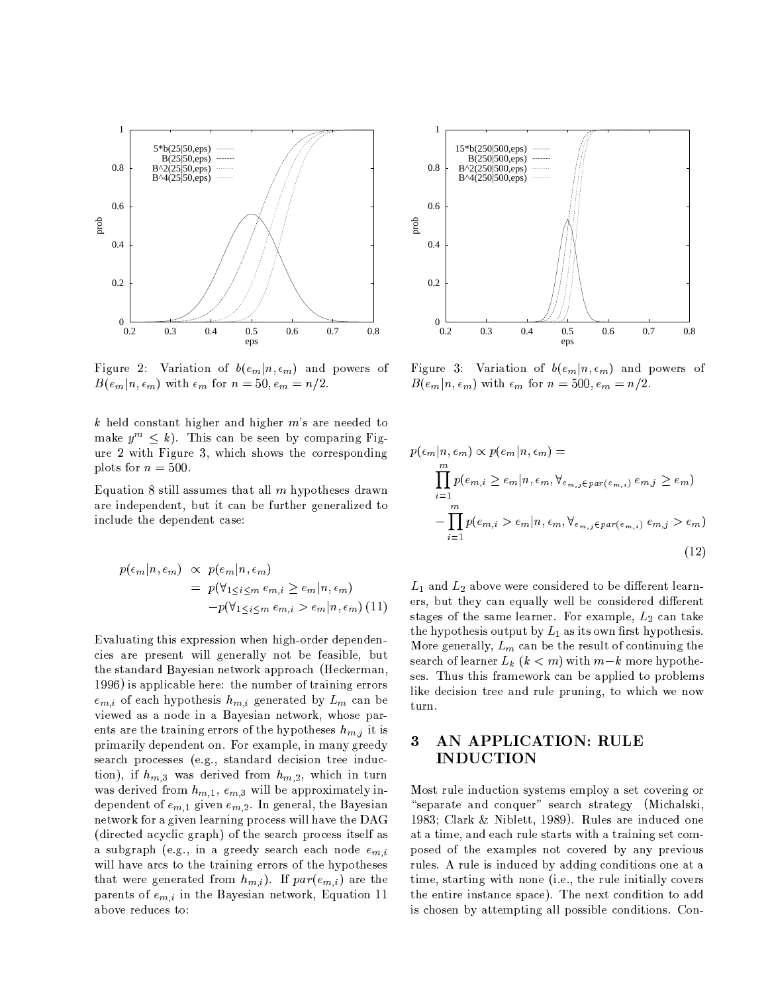

Figure 2: Variation of  $b(e_m|n, \epsilon_m)$  and powers of  $B(e_m|n, \epsilon_m)$  with  $\epsilon_m$  for  $n = 50, e_m = n/2$ .

k held constant higher and higher  $m$ 's are needed to make  $y^m \leq k$ ). This can be seen by comparing Figure 2 with Figure 3, which shows the corresponding plots for  $n = 500$ .

Equation 8 still assumes that all  $m$  hypotheses drawn are independent, but it can be further generalized to include the dependent case:

$$
p(\epsilon_m | n, \epsilon_m) \propto p(\epsilon_m | n, \epsilon_m)
$$
  
= 
$$
p(\forall_{1 \leq i \leq m} \epsilon_{m,i} \geq \epsilon_m | n, \epsilon_m)
$$
  

$$
-p(\forall_{1 \leq i \leq m} \epsilon_{m,i} > \epsilon_m | n, \epsilon_m)
$$
(11)

Evaluating this expression when high-order dependencies are present will generally not be feasible, but the standard Bayesian network approach (Heckerman, 1996) is applicable here: the number of training errors  $e_{m,i}$  of each hypothesis  $h_{m,i}$  generated by  $L_m$  can be viewed as a node in a Bayesian network, whose parents are the training errors of the hypotheses  $h_{m,j}$  it is primarily dependent on. For example, in many greedy search processes (e.g., standard decision tree induction), if  $h_{m,3}$  was derived from  $h_{m,2}$ , which in turn was derived from  $h_{m,1}$ ,  $e_{m,3}$  will be approximately independent of  $e_{m,1}$  given  $e_{m,2}$ . In general, the Bayesian network for a given learning process will have the DAG (directed acyclic graph) of the search process itself as a subgraph (e.g., in a greedy search each node  $e_{m,i}$ ) will have arcs to the training errors of the hypotheses that were generated from  $h_{m,i}$ ). If  $par(e_{m,i})$  are the parents of  $e_{m,i}$  in the Bayesian network, Equation 11 above reduces to:



Figure 3: Variation of  $b(e_m|n, \epsilon_m)$  and powers of  $B(e_m|n, \epsilon_m)$  with  $\epsilon_m$  for  $n = 500, e_m = n/2$ .

$$
p(\epsilon_m | n, e_m) \propto p(e_m | n, \epsilon_m) =
$$
  
\n
$$
\prod_{i=1}^m p(e_{m,i} \ge e_m | n, \epsilon_m, \forall_{e_{m,j} \in par(e_{m,i})} e_{m,j} \ge e_m)
$$
  
\n
$$
-\prod_{i=1}^m p(e_{m,i} > e_m | n, \epsilon_m, \forall_{e_{m,j} \in par(e_{m,i})} e_{m,j} > e_m)
$$
\n(12)

 $L_1$  and  $L_2$  above were considered to be different learners, but they can equally well be considered different stages of the same learner. For example,  $L_2$  can take the hypothesis output by  $L_1$  as its own first hypothesis. More generally,  $L_m$  can be the result of continuing the search of learner  $L_k$   $(k < m)$  with  $m-k$  more hypotheses. Thus this framework can be applied to problems like decision tree and rule pruning, to which we now turn.

### AN APPLICATION: RULE 3 **INDUCTION**

Most rule induction systems employ a set covering or "separate and conquer" search strategy (Michalski, 1983; Clark & Niblett, 1989). Rules are induced one at a time, and each rule starts with a training set composed of the examples not covered by any previous rules. A rule is induced by adding conditions one at a time, starting with none (i.e., the rule initially covers the entire instance space). The next condition to add is chosen by attempting all possible conditions. Con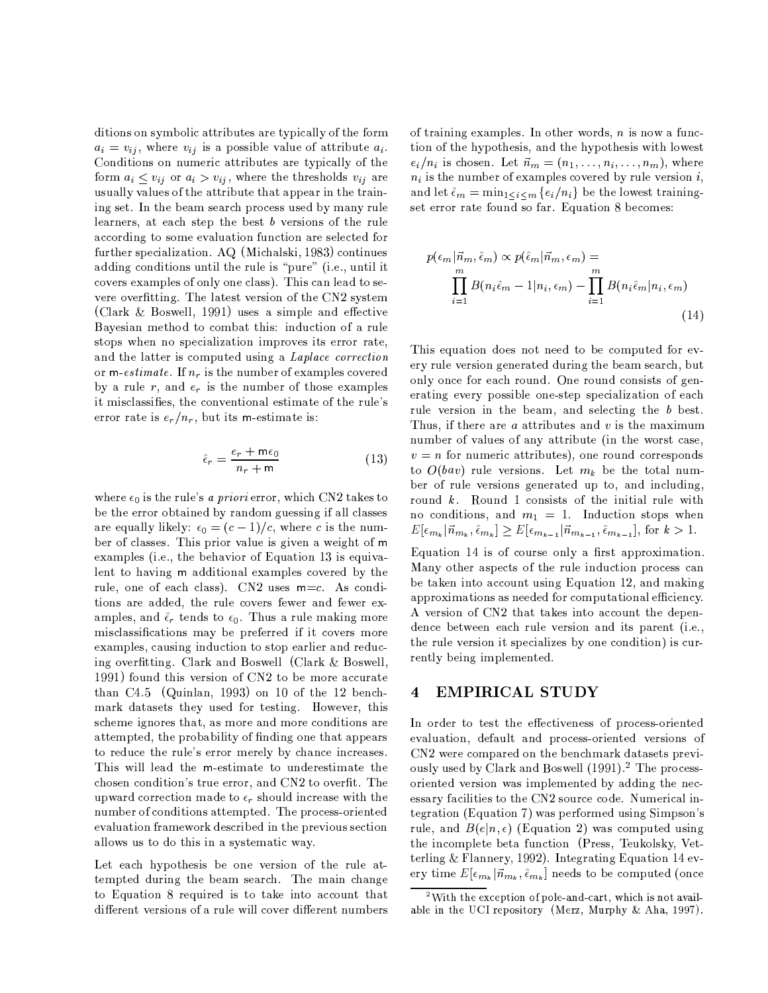ditions on symbolic attributes are typically of the form  $a_i = v_{ij}$ , where  $v_{ij}$  is a possible value of attribute  $a_i$ . Conditions on numeric attributes are typically of the form  $a_i \leq v_{ij}$  or  $a_i > v_{ij}$ , where the thresholds  $v_{ij}$  are usually values of the attribute that appear in the training set. In the beam search process used by many rule learners, at each step the best  $b$  versions of the rule according to some evaluation function are selected for further specialization. AQ (Michalski, 1983) continues adding conditions until the rule is "pure" (i.e., until it covers examples of only one class). This can lead to severe overfitting. The latest version of the CN2 system (Clark & Boswell, 1991) uses a simple and effective Bayesian method to combat this: induction of a rule stops when no specialization improves its error rate, and the latter is computed using a Laplace correction or m-estimate. If  $n_r$  is the number of examples covered by a rule  $r$ , and  $e_r$  is the number of those examples it misclassifies, the conventional estimate of the rule's error rate is  $e_r/n_r$ , but its m-estimate is:

$$
\hat{\epsilon}_r = \frac{e_r + \mathsf{m}\epsilon_0}{n_r + \mathsf{m}}\tag{13}
$$

where  $\epsilon_0$  is the rule's a priori error, which CN2 takes to be the error obtained by random guessing if all classes are equally likely:  $\epsilon_0 = (c-1)/c$ , where c is the number of classes. This prior value is given a weight of m examples (i.e., the behavior of Equation 13 is equivalent to having m additional examples covered by the rule, one of each class). CN2 uses  $m=c$ . As conditions are added, the rule covers fewer and fewer examples, and  $\hat{\epsilon}_r$  tends to  $\epsilon_0$ . Thus a rule making more misclassifications may be preferred if it covers more examples, causing induction to stop earlier and reducing overfitting. Clark and Boswell (Clark & Boswell, 1991) found this version of CN2 to be more accurate than C4.5 (Quinlan, 1993) on 10 of the 12 benchmark datasets they used for testing. However, this scheme ignores that, as more and more conditions are attempted, the probability of finding one that appears to reduce the rule's error merely by chance increases. This will lead the m-estimate to underestimate the chosen condition's true error, and CN2 to overfit. The upward correction made to  $\epsilon_r$  should increase with the number of conditions attempted. The process-oriented evaluation framework described in the previous section allows us to do this in a systematic way.

Let each hypothesis be one version of the rule attempted during the beam search. The main change to Equation 8 required is to take into account that different versions of a rule will cover different numbers

of training examples. In other words,  $n$  is now a function of the hypothesis, and the hypothesis with lowest  $e_i/n_i$  is chosen. Let  $\vec{n}_m = (n_1, \ldots, n_i, \ldots, n_m)$ , where  $n_i$  is the number of examples covered by rule version i, and let  $\hat{\epsilon}_m = \min_{1 \leq i \leq m} \{e_i/n_i\}$  be the lowest trainingset error rate found so far. Equation 8 becomes:

$$
p(\epsilon_m|\vec{n}_m, \hat{\epsilon}_m) \propto p(\hat{\epsilon}_m|\vec{n}_m, \epsilon_m) =
$$
  
\n
$$
\prod_{i=1}^m B(n_i \hat{\epsilon}_m - 1|n_i, \epsilon_m) - \prod_{i=1}^m B(n_i \hat{\epsilon}_m|n_i, \epsilon_m)
$$
\n(14)

This equation does not need to be computed for every rule version generated during the beam search, but only once for each round. One round consists of generating every possible one-step specialization of each rule version in the beam, and selecting the b best. Thus, if there are  $a$  attributes and  $v$  is the maximum number of values of any attribute (in the worst case,  $v = n$  for numeric attributes), one round corresponds to  $O(bav)$  rule versions. Let  $m_k$  be the total number of rule versions generated up to, and including, round  $k$ . Round 1 consists of the initial rule with no conditions, and  $m_1 = 1$ . Induction stops when  $E[\epsilon_{m_k}|\vec{n}_{m_k}, \hat{\epsilon}_{m_k}] \geq E[\epsilon_{m_{k-1}}|\vec{n}_{m_{k-1}}, \hat{\epsilon}_{m_{k-1}}],$  for  $k > 1$ .

Equation 14 is of course only a first approximation. Many other aspects of the rule induction process can be taken into account using Equation 12, and making approximations as needed for computational efficiency. A version of CN2 that takes into account the dependence between each rule version and its parent (i.e., the rule version it specializes by one condition) is currently being implemented.

#### **EMPIRICAL STUDY**  $\overline{\mathbf{4}}$

In order to test the effectiveness of process-oriented evaluation, default and process-oriented versions of CN2 were compared on the benchmark datasets previously used by Clark and Boswell (1991).<sup>2</sup> The processoriented version was implemented by adding the necessary facilities to the CN2 source code. Numerical integration (Equation 7) was performed using Simpson's rule, and  $B(e|n, \epsilon)$  (Equation 2) was computed using the incomplete beta function (Press, Teukolsky, Vetterling & Flannery, 1992). Integrating Equation 14 every time  $E[\epsilon_{m_k}|\vec{n}_{m_k}, \hat{\epsilon}_{m_k}]$  needs to be computed (once

 $2$ With the exception of pole-and-cart, which is not available in the UCI repository (Merz, Murphy & Aha, 1997).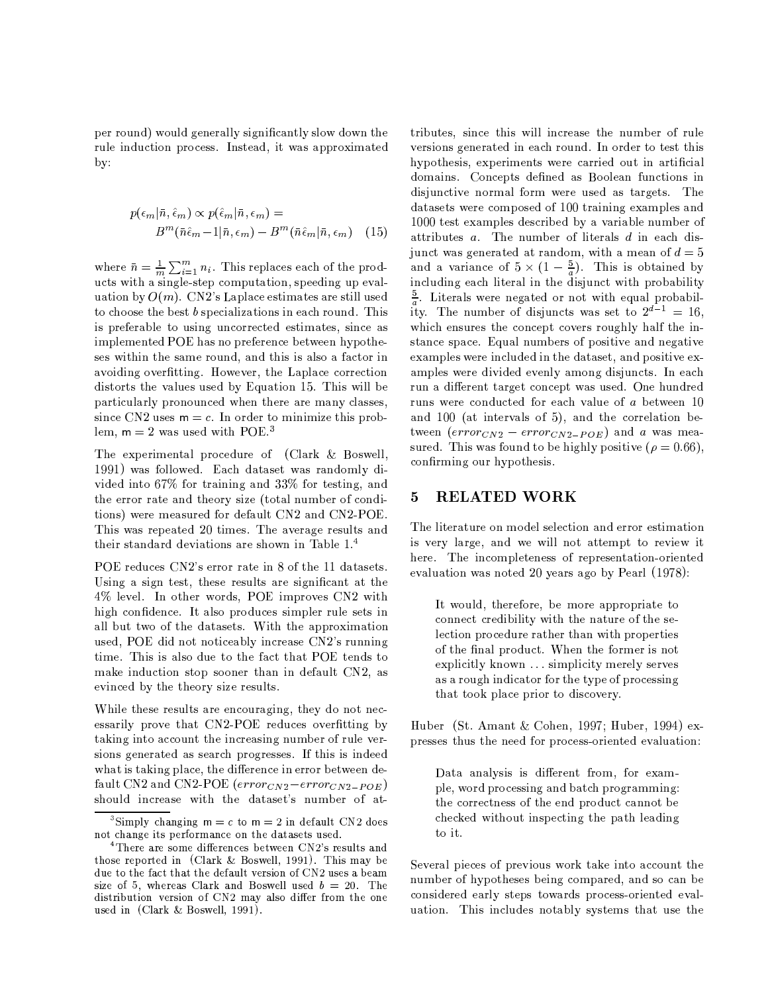per round) would generally significantly slow down the rule induction process. Instead, it was approximated  $by:$ 

$$
p(\epsilon_m|\bar{n}, \hat{\epsilon}_m) \propto p(\hat{\epsilon}_m|\bar{n}, \epsilon_m) =
$$
  

$$
B^m(\bar{n}\hat{\epsilon}_m - 1|\bar{n}, \epsilon_m) - B^m(\bar{n}\hat{\epsilon}_m|\bar{n}, \epsilon_m)
$$
 (15)

where  $\bar{n} = \frac{1}{m} \sum_{i=1}^{m} n_i$ . This replaces each of the products with a single-step computation, speeding up evaluation by  $O(m)$ . CN2's Laplace estimates are still used to choose the best  $b$  specializations in each round. This is preferable to using uncorrected estimates, since as implemented POE has no preference between hypotheses within the same round, and this is also a factor in avoiding overfitting. However, the Laplace correction distorts the values used by Equation 15. This will be particularly pronounced when there are many classes, since CN2 uses  $m = c$ . In order to minimize this problem,  $m = 2$  was used with POE.<sup>3</sup>

The experimental procedure of (Clark & Boswell, 1991) was followed. Each dataset was randomly divided into 67% for training and 33% for testing, and the error rate and theory size (total number of conditions) were measured for default CN2 and CN2-POE. This was repeated 20 times. The average results and their standard deviations are shown in Table 1.4

POE reduces CN2's error rate in 8 of the 11 datasets. Using a sign test, these results are significant at the 4% level. In other words, POE improves CN2 with high confidence. It also produces simpler rule sets in all but two of the datasets. With the approximation used, POE did not noticeably increase CN2's running time. This is also due to the fact that POE tends to make induction stop sooner than in default CN2, as evinced by the theory size results.

While these results are encouraging, they do not necessarily prove that CN2-POE reduces overfitting by taking into account the increasing number of rule versions generated as search progresses. If this is indeed what is taking place, the difference in error between default CN2 and CN2-POE ( $error_{CN2}-error_{CN2-POE}$ ) should increase with the dataset's number of at-

tributes, since this will increase the number of rule versions generated in each round. In order to test this hypothesis, experiments were carried out in artificial domains. Concepts defined as Boolean functions in disjunctive normal form were used as targets. The datasets were composed of 100 training examples and 1000 test examples described by a variable number of attributes  $a$ . The number of literals  $d$  in each disjunct was generated at random, with a mean of  $d=5$ and a variance of  $5 \times (1 - \frac{5}{a})$ . This is obtained by including each literal in the disjunct with probability  $\frac{5}{a}$ . Literals were negated or not with equal probability. The number of disjuncts was set to  $2^{d-1} = 16$ . which ensures the concept covers roughly half the instance space. Equal numbers of positive and negative examples were included in the dataset, and positive examples were divided evenly among disjuncts. In each run a different target concept was used. One hundred runs were conducted for each value of a between 10 and 100 (at intervals of 5), and the correlation between  $\left(error_{CN2} - error_{CN2-POE}\right)$  and a was measured. This was found to be highly positive ( $\rho = 0.66$ ), confirming our hypothesis.

#### **RELATED WORK** 5

The literature on model selection and error estimation is very large, and we will not attempt to review it here. The incompleteness of representation-oriented evaluation was noted 20 years ago by Pearl (1978):

It would, therefore, be more appropriate to connect credibility with the nature of the selection procedure rather than with properties of the final product. When the former is not explicitly known ... simplicity merely serves as a rough indicator for the type of processing that took place prior to discovery.

Huber (St. Amant & Cohen, 1997; Huber, 1994) expresses thus the need for process-oriented evaluation:

Data analysis is different from, for example, word processing and batch programming: the correctness of the end product cannot be checked without inspecting the path leading to it.

Several pieces of previous work take into account the number of hypotheses being compared, and so can be considered early steps towards process-oriented evaluation. This includes notably systems that use the

<sup>&</sup>lt;sup>3</sup>Simply changing  $m = c$  to  $m = 2$  in default CN2 does not change its performance on the datasets used.

<sup>&</sup>lt;sup>4</sup>There are some differences between CN2's results and those reported in (Clark & Boswell, 1991). This may be due to the fact that the default version of CN2 uses a beam size of 5, whereas Clark and Boswell used  $b = 20$ . The distribution version of CN2 may also differ from the one used in (Clark & Boswell, 1991).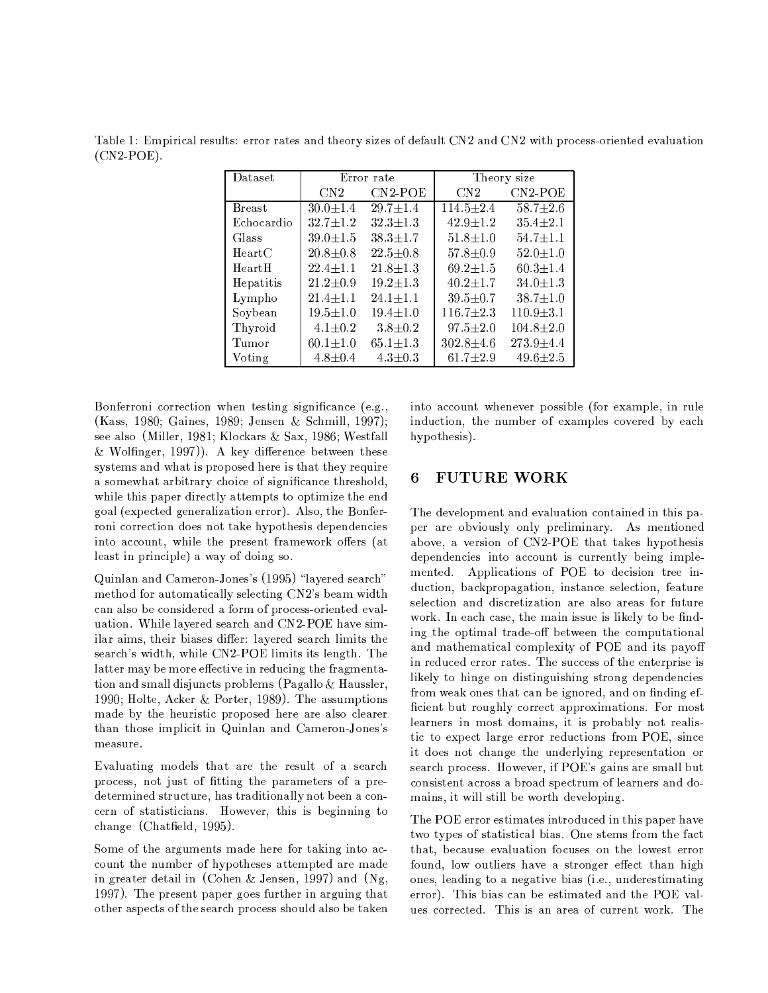Table 1: Empirical results: error rates and theory sizes of default CN2 and CN2 with process-oriented evaluation  $(CN2-POE)$ .

| Dataset       | Error rate     |                     | Theory size     |                 |
|---------------|----------------|---------------------|-----------------|-----------------|
|               | CN2            | CN <sub>2</sub> POE | CN2             | $CN2-POE$       |
| <b>Breast</b> | $30.0 \pm 1.4$ | $29.7 \pm 1.4$      | $114.5 \pm 2.4$ | 58.7 $\pm 2.6$  |
| Echocardio    | $32.7 \pm 1.2$ | $32.3 \pm 1.3$      | $42.9 \pm 1.2$  | $35.4 \pm 2.1$  |
| Glass         | $39.0 \pm 1.5$ | $38.3 \pm 1.7$      | $51.8 \pm 1.0$  | $54.7 \pm 1.1$  |
| HeartC        | $20.8 \pm 0.8$ | $22.5 \pm 0.8$      | $57.8 \pm 0.9$  | $52.0 \pm 1.0$  |
| HeartH        | $22.4 \pm 1.1$ | $21.8 \pm 1.3$      | $69.2 \pm 1.5$  | 60.3 $\pm$ 1.4  |
| Hepatitis     | $21.2 \pm 0.9$ | $19.2 \pm 1.3$      | $40.2 \pm 1.7$  | $34.0 \pm 1.3$  |
| Lympho        | $21.4 \pm 1.1$ | $24.1 \pm 1.1$      | $39.5 \pm 0.7$  | $38.7 \pm 1.0$  |
| Soybean       | $19.5 \pm 1.0$ | $19.4 \pm 1.0$      | $116.7 \pm 2.3$ | $110.9 \pm 3.1$ |
| Thyroid       | $4.1 \pm 0.2$  | $3.8 \pm 0.2$       | $97.5 \pm 2.0$  | $104.8 \pm 2.0$ |
| Tumor         | $60.1 \pm 1.0$ | $65.1 \pm 1.3$      | $302.8 \pm 4.6$ | $273.9 \pm 4.4$ |
| Voting        | $4.8 \pm 0.4$  | $4.3 \pm 0.3$       | 61.7 $\pm 2.9$  | $49.6 \pm 2.5$  |

Bonferroni correction when testing significance (e.g., (Kass, 1980; Gaines, 1989; Jensen & Schmill, 1997); see also (Miller, 1981; Klockars & Sax, 1986; Westfall & Wolfinger, 1997)). A key difference between these systems and what is proposed here is that they require a somewhat arbitrary choice of significance threshold, while this paper directly attempts to optimize the end goal (expected generalization error). Also, the Bonferroni correction does not take hypothesis dependencies into account, while the present framework offers (at least in principle) a way of doing so.

Quinlan and Cameron-Jones's (1995) "layered search" method for automatically selecting CN2's beam width can also be considered a form of process-oriented evaluation. While layered search and CN2-POE have similar aims, their biases differ: layered search limits the search's width, while CN2-POE limits its length. The latter may be more effective in reducing the fragmentation and small disjuncts problems (Pagallo & Haussler, 1990; Holte, Acker & Porter, 1989). The assumptions made by the heuristic proposed here are also clearer than those implicit in Quinlan and Cameron-Jones's measure.

Evaluating models that are the result of a search process, not just of fitting the parameters of a predetermined structure, has traditionally not been a concern of statisticians. However, this is beginning to change (Chatfield, 1995).

Some of the arguments made here for taking into account the number of hypotheses attempted are made in greater detail in (Cohen & Jensen, 1997) and  $(Ng)$ , 1997). The present paper goes further in arguing that other aspects of the search process should also be taken

into account whenever possible (for example, in rule induction, the number of examples covered by each hypothesis).

#### **FUTURE WORK** 6

The development and evaluation contained in this paper are obviously only preliminary. As mentioned above, a version of CN2-POE that takes hypothesis dependencies into account is currently being implemented. Applications of POE to decision tree induction, backpropagation, instance selection, feature selection and discretization are also areas for future work. In each case, the main issue is likely to be finding the optimal trade-off between the computational and mathematical complexity of POE and its payoff in reduced error rates. The success of the enterprise is likely to hinge on distinguishing strong dependencies from weak ones that can be ignored, and on finding efficient but roughly correct approximations. For most learners in most domains, it is probably not realistic to expect large error reductions from POE, since it does not change the underlying representation or search process. However, if POE's gains are small but consistent across a broad spectrum of learners and domains, it will still be worth developing.

The POE error estimates introduced in this paper have two types of statistical bias. One stems from the fact that, because evaluation focuses on the lowest error found, low outliers have a stronger effect than high ones, leading to a negative bias (i.e., underestimating error). This bias can be estimated and the POE values corrected. This is an area of current work. The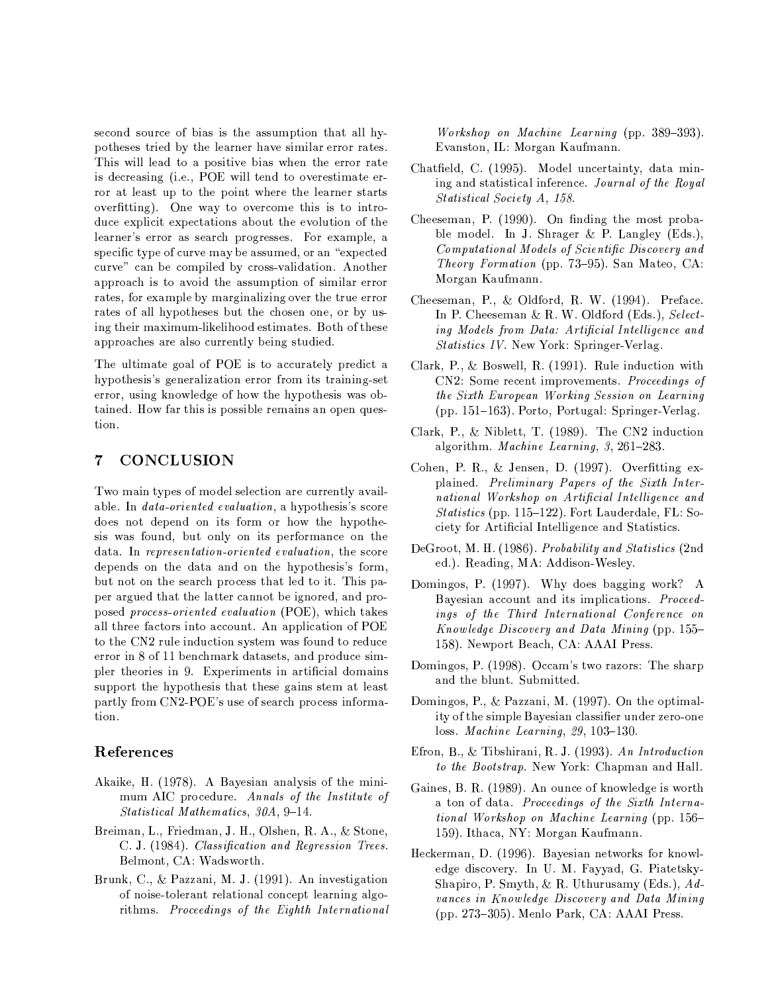second source of bias is the assumption that all hypotheses tried by the learner have similar error rates. This will lead to a positive bias when the error rate is decreasing (i.e., POE will tend to overestimate error at least up to the point where the learner starts overfitting). One way to overcome this is to introduce explicit expectations about the evolution of the learner's error as search progresses. For example, a specific type of curve may be assumed, or an "expected" curve" can be compiled by cross-validation. Another approach is to avoid the assumption of similar error rates, for example by marginalizing over the true error rates of all hypotheses but the chosen one, or by using their maximum-likelihood estimates. Both of these approaches are also currently being studied.

The ultimate goal of POE is to accurately predict a hypothesis's generalization error from its training-set error, using knowledge of how the hypothesis was obtained. How far this is possible remains an open question.

#### 7 **CONCLUSION**

Two main types of model selection are currently available. In *data-oriented evaluation*, a hypothesis's score does not depend on its form or how the hypothesis was found, but only on its performance on the data. In representation-oriented evaluation, the score depends on the data and on the hypothesis's form, but not on the search process that led to it. This paper argued that the latter cannot be ignored, and proposed process-oriented evaluation (POE), which takes all three factors into account. An application of POE to the CN2 rule induction system was found to reduce error in 8 of 11 benchmark datasets, and produce simpler theories in 9. Experiments in artificial domains support the hypothesis that these gains stem at least partly from CN2-POE's use of search process information.

## References

- Akaike, H. (1978). A Bayesian analysis of the minimum AIC procedure. Annals of the Institute of Statistical Mathematics, 30A, 9-14.
- Breiman, L., Friedman, J. H., Olshen, R. A., & Stone, C. J. (1984). Classification and Regression Trees. Belmont, CA: Wadsworth.
- Brunk, C., & Pazzani, M. J. (1991). An investigation of noise-tolerant relational concept learning algorithms. Proceedings of the Eighth International

Workshop on Machine Learning (pp. 389-393). Evanston, IL: Morgan Kaufmann.

- Chatfield, C. (1995). Model uncertainty, data mining and statistical inference. Journal of the Royal Statistical Society A, 158.
- Cheeseman, P. (1990). On finding the most probable model. In J. Shrager & P. Langley (Eds.), Computational Models of Scientific Discovery and *Theory Formation* (pp. 73–95). San Mateo, CA: Morgan Kaufmann.
- Cheeseman, P., & Oldford, R. W. (1994). Preface. In P. Cheeseman & R. W. Oldford (Eds.), Selecting Models from Data: Artificial Intelligence and Statistics IV. New York: Springer-Verlag.
- Clark, P., & Boswell, R. (1991). Rule induction with CN2: Some recent improvements. Proceedings of the Sixth European Working Session on Learning (pp. 151-163). Porto, Portugal: Springer-Verlag.
- Clark, P., & Niblett, T. (1989). The CN2 induction algorithm. Machine Learning, 3, 261-283.
- Cohen, P. R., & Jensen, D. (1997). Overfitting explained. Preliminary Papers of the Sixth International Workshop on Artificial Intelligence and *Statistics* (pp. 115–122). Fort Lauderdale, FL: Society for Artificial Intelligence and Statistics.
- DeGroot, M. H. (1986). Probability and Statistics (2nd ed.). Reading, MA: Addison-Wesley.
- Domingos, P. (1997). Why does bagging work? A Bayesian account and its implications. Proceedings of the Third International Conference on Knowledge Discovery and Data Mining (pp. 155– 158). Newport Beach, CA: AAAI Press.
- Domingos, P. (1998). Occam's two razors: The sharp and the blunt. Submitted.
- Domingos, P., & Pazzani, M. (1997). On the optimality of the simple Bayesian classifier under zero-one  $loss. \ Machine \ Learning, 29, 103-130.$
- Efron, B., & Tibshirani, R. J. (1993). An Introduction to the Bootstrap. New York: Chapman and Hall.
- Gaines, B. R. (1989). An ounce of knowledge is worth a ton of data. Proceedings of the Sixth International Workshop on Machine Learning (pp. 156-159). Ithaca, NY: Morgan Kaufmann.
- Heckerman, D. (1996). Bayesian networks for knowledge discovery. In U. M. Fayyad, G. Piatetsky-Shapiro, P. Smyth, & R. Uthurusamy (Eds.),  $Ad$ vances in Knowledge Discovery and Data Mining (pp. 273–305). Menlo Park, CA: AAAI Press.